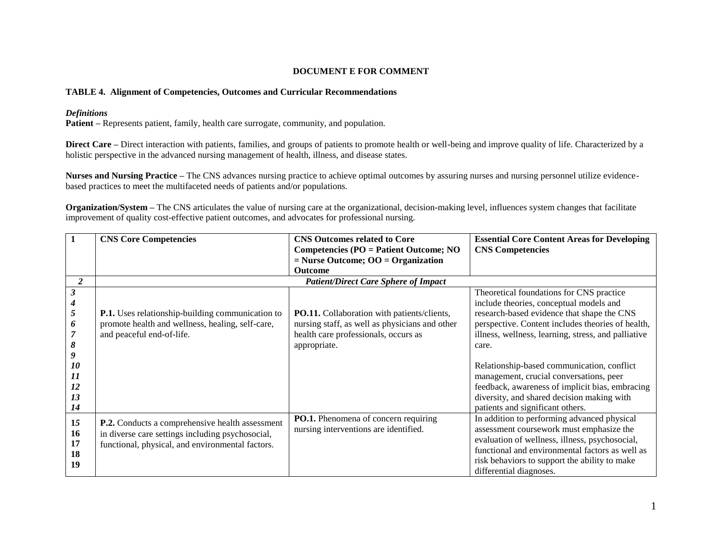## **DOCUMENT E FOR COMMENT**

## **TABLE 4. Alignment of Competencies, Outcomes and Curricular Recommendations**

## *Definitions*

**Patient –** Represents patient, family, health care surrogate, community, and population.

**Direct Care** – Direct interaction with patients, families, and groups of patients to promote health or well-being and improve quality of life. Characterized by a holistic perspective in the advanced nursing management of health, illness, and disease states.

**Nurses and Nursing Practice –** The CNS advances nursing practice to achieve optimal outcomes by assuring nurses and nursing personnel utilize evidencebased practices to meet the multifaceted needs of patients and/or populations.

**Organization/System –** The CNS articulates the value of nursing care at the organizational, decision-making level, influences system changes that facilitate improvement of quality cost-effective patient outcomes, and advocates for professional nursing.

|                                   | <b>CNS Core Competencies</b>                                                                                                                            | <b>CNS Outcomes related to Core</b>                                                                                                                          | <b>Essential Core Content Areas for Developing</b>                                                                                                                                                                                                                       |
|-----------------------------------|---------------------------------------------------------------------------------------------------------------------------------------------------------|--------------------------------------------------------------------------------------------------------------------------------------------------------------|--------------------------------------------------------------------------------------------------------------------------------------------------------------------------------------------------------------------------------------------------------------------------|
|                                   |                                                                                                                                                         | Competencies (PO = Patient Outcome; NO                                                                                                                       | <b>CNS</b> Competencies                                                                                                                                                                                                                                                  |
|                                   |                                                                                                                                                         | $=$ Nurse Outcome; OO $=$ Organization                                                                                                                       |                                                                                                                                                                                                                                                                          |
|                                   |                                                                                                                                                         | <b>Outcome</b>                                                                                                                                               |                                                                                                                                                                                                                                                                          |
| $\boldsymbol{2}$                  |                                                                                                                                                         | <b>Patient/Direct Care Sphere of Impact</b>                                                                                                                  |                                                                                                                                                                                                                                                                          |
| 5<br>6<br>8<br>9                  | <b>P.1.</b> Uses relationship-building communication to<br>promote health and wellness, healing, self-care,<br>and peaceful end-of-life.                | <b>PO.11.</b> Collaboration with patients/clients,<br>nursing staff, as well as physicians and other<br>health care professionals, occurs as<br>appropriate. | Theoretical foundations for CNS practice<br>include theories, conceptual models and<br>research-based evidence that shape the CNS<br>perspective. Content includes theories of health,<br>illness, wellness, learning, stress, and palliative<br>care.                   |
| 10<br>11<br>12<br>13<br>14        |                                                                                                                                                         |                                                                                                                                                              | Relationship-based communication, conflict<br>management, crucial conversations, peer<br>feedback, awareness of implicit bias, embracing<br>diversity, and shared decision making with<br>patients and significant others.                                               |
| 15<br><b>16</b><br>17<br>18<br>19 | P.2. Conducts a comprehensive health assessment<br>in diverse care settings including psychosocial,<br>functional, physical, and environmental factors. | PO.1. Phenomena of concern requiring<br>nursing interventions are identified.                                                                                | In addition to performing advanced physical<br>assessment coursework must emphasize the<br>evaluation of wellness, illness, psychosocial,<br>functional and environmental factors as well as<br>risk behaviors to support the ability to make<br>differential diagnoses. |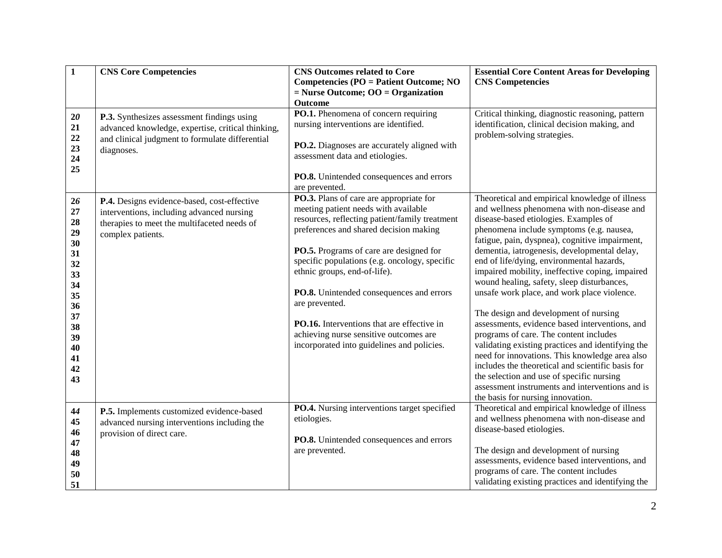| $\mathbf{1}$                                                                                             | <b>CNS Core Competencies</b>                                                                                                                                     | <b>CNS Outcomes related to Core</b><br><b>Competencies (PO = Patient Outcome; NO</b><br>$=$ Nurse Outcome; OO $=$ Organization                                                                                                                                                                                                                                                                                                                                                                                                | <b>Essential Core Content Areas for Developing</b><br><b>CNS Competencies</b>                                                                                                                                                                                                                                                                                                                                                                                                                                                                                                                                                                                                                                                                                                                                                                                                                                           |
|----------------------------------------------------------------------------------------------------------|------------------------------------------------------------------------------------------------------------------------------------------------------------------|-------------------------------------------------------------------------------------------------------------------------------------------------------------------------------------------------------------------------------------------------------------------------------------------------------------------------------------------------------------------------------------------------------------------------------------------------------------------------------------------------------------------------------|-------------------------------------------------------------------------------------------------------------------------------------------------------------------------------------------------------------------------------------------------------------------------------------------------------------------------------------------------------------------------------------------------------------------------------------------------------------------------------------------------------------------------------------------------------------------------------------------------------------------------------------------------------------------------------------------------------------------------------------------------------------------------------------------------------------------------------------------------------------------------------------------------------------------------|
| $20\,$<br>21<br>22<br>23<br>24<br>25                                                                     | P.3. Synthesizes assessment findings using<br>advanced knowledge, expertise, critical thinking,<br>and clinical judgment to formulate differential<br>diagnoses. | Outcome<br>PO.1. Phenomena of concern requiring<br>nursing interventions are identified.<br>PO.2. Diagnoses are accurately aligned with<br>assessment data and etiologies.<br>PO.8. Unintended consequences and errors                                                                                                                                                                                                                                                                                                        | Critical thinking, diagnostic reasoning, pattern<br>identification, clinical decision making, and<br>problem-solving strategies.                                                                                                                                                                                                                                                                                                                                                                                                                                                                                                                                                                                                                                                                                                                                                                                        |
| 26<br>27<br>28<br>29<br>30<br>31<br>32<br>33<br>34<br>35<br>36<br>37<br>38<br>39<br>40<br>41<br>42<br>43 | P.4. Designs evidence-based, cost-effective<br>interventions, including advanced nursing<br>therapies to meet the multifaceted needs of<br>complex patients.     | are prevented.<br>PO.3. Plans of care are appropriate for<br>meeting patient needs with available<br>resources, reflecting patient/family treatment<br>preferences and shared decision making<br>PO.5. Programs of care are designed for<br>specific populations (e.g. oncology, specific<br>ethnic groups, end-of-life).<br>PO.8. Unintended consequences and errors<br>are prevented.<br>PO.16. Interventions that are effective in<br>achieving nurse sensitive outcomes are<br>incorporated into guidelines and policies. | Theoretical and empirical knowledge of illness<br>and wellness phenomena with non-disease and<br>disease-based etiologies. Examples of<br>phenomena include symptoms (e.g. nausea,<br>fatigue, pain, dyspnea), cognitive impairment,<br>dementia, iatrogenesis, developmental delay,<br>end of life/dying, environmental hazards,<br>impaired mobility, ineffective coping, impaired<br>wound healing, safety, sleep disturbances,<br>unsafe work place, and work place violence.<br>The design and development of nursing<br>assessments, evidence based interventions, and<br>programs of care. The content includes<br>validating existing practices and identifying the<br>need for innovations. This knowledge area also<br>includes the theoretical and scientific basis for<br>the selection and use of specific nursing<br>assessment instruments and interventions and is<br>the basis for nursing innovation. |
| 44<br>45<br>46<br>47<br>48<br>49<br>50<br>51                                                             | P.5. Implements customized evidence-based<br>advanced nursing interventions including the<br>provision of direct care.                                           | PO.4. Nursing interventions target specified<br>etiologies.<br>PO.8. Unintended consequences and errors<br>are prevented.                                                                                                                                                                                                                                                                                                                                                                                                     | Theoretical and empirical knowledge of illness<br>and wellness phenomena with non-disease and<br>disease-based etiologies.<br>The design and development of nursing<br>assessments, evidence based interventions, and<br>programs of care. The content includes<br>validating existing practices and identifying the                                                                                                                                                                                                                                                                                                                                                                                                                                                                                                                                                                                                    |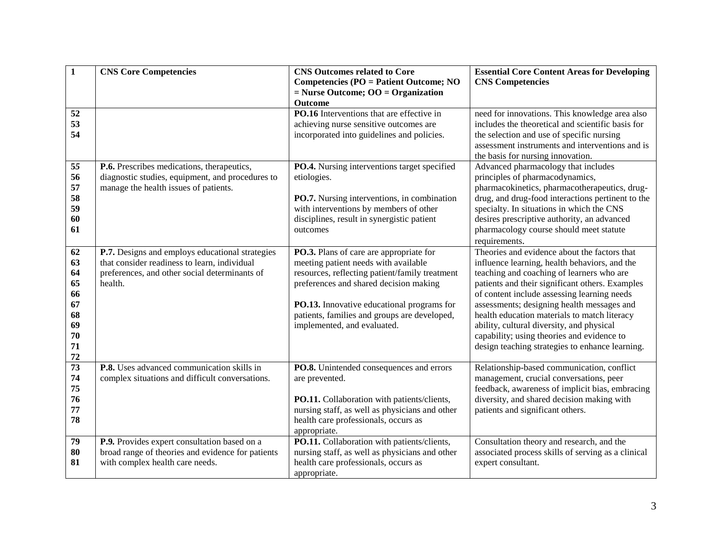| $\mathbf{1}$          | <b>CNS Core Competencies</b>                                                                    | <b>CNS Outcomes related to Core</b>                                                    | <b>Essential Core Content Areas for Developing</b>                                         |
|-----------------------|-------------------------------------------------------------------------------------------------|----------------------------------------------------------------------------------------|--------------------------------------------------------------------------------------------|
|                       |                                                                                                 | <b>Competencies (PO = Patient Outcome; NO</b>                                          | <b>CNS Competencies</b>                                                                    |
|                       |                                                                                                 | $=$ Nurse Outcome; OO $=$ Organization<br>Outcome                                      |                                                                                            |
| 52                    |                                                                                                 | PO.16 Interventions that are effective in                                              | need for innovations. This knowledge area also                                             |
| 53                    |                                                                                                 | achieving nurse sensitive outcomes are                                                 | includes the theoretical and scientific basis for                                          |
| 54                    |                                                                                                 | incorporated into guidelines and policies.                                             | the selection and use of specific nursing                                                  |
|                       |                                                                                                 |                                                                                        | assessment instruments and interventions and is                                            |
|                       |                                                                                                 |                                                                                        | the basis for nursing innovation.                                                          |
| 55                    | P.6. Prescribes medications, therapeutics,                                                      | PO.4. Nursing interventions target specified                                           | Advanced pharmacology that includes                                                        |
| 56                    | diagnostic studies, equipment, and procedures to                                                | etiologies.                                                                            | principles of pharmacodynamics,                                                            |
| 57                    | manage the health issues of patients.                                                           |                                                                                        | pharmacokinetics, pharmacotherapeutics, drug-                                              |
| 58                    |                                                                                                 | PO.7. Nursing interventions, in combination                                            | drug, and drug-food interactions pertinent to the                                          |
| 59                    |                                                                                                 | with interventions by members of other                                                 | specialty. In situations in which the CNS                                                  |
| 60                    |                                                                                                 | disciplines, result in synergistic patient                                             | desires prescriptive authority, an advanced                                                |
| 61                    |                                                                                                 | outcomes                                                                               | pharmacology course should meet statute                                                    |
|                       |                                                                                                 |                                                                                        | requirements.                                                                              |
| 62<br>63              | P.7. Designs and employs educational strategies<br>that consider readiness to learn, individual | PO.3. Plans of care are appropriate for                                                | Theories and evidence about the factors that                                               |
| 64                    | preferences, and other social determinants of                                                   | meeting patient needs with available<br>resources, reflecting patient/family treatment | influence learning, health behaviors, and the<br>teaching and coaching of learners who are |
| 65                    | health.                                                                                         | preferences and shared decision making                                                 | patients and their significant others. Examples                                            |
| 66                    |                                                                                                 |                                                                                        | of content include assessing learning needs                                                |
| 67                    |                                                                                                 | PO.13. Innovative educational programs for                                             | assessments; designing health messages and                                                 |
| 68                    |                                                                                                 | patients, families and groups are developed,                                           | health education materials to match literacy                                               |
| 69                    |                                                                                                 | implemented, and evaluated.                                                            | ability, cultural diversity, and physical                                                  |
| 70                    |                                                                                                 |                                                                                        | capability; using theories and evidence to                                                 |
| 71                    |                                                                                                 |                                                                                        | design teaching strategies to enhance learning.                                            |
| 72                    |                                                                                                 |                                                                                        |                                                                                            |
| $\overline{73}$<br>74 | P.8. Uses advanced communication skills in                                                      | PO.8. Unintended consequences and errors                                               | Relationship-based communication, conflict                                                 |
| 75                    | complex situations and difficult conversations.                                                 | are prevented.                                                                         | management, crucial conversations, peer<br>feedback, awareness of implicit bias, embracing |
| 76                    |                                                                                                 | PO.11. Collaboration with patients/clients,                                            | diversity, and shared decision making with                                                 |
| 77                    |                                                                                                 | nursing staff, as well as physicians and other                                         | patients and significant others.                                                           |
| 78                    |                                                                                                 | health care professionals, occurs as                                                   |                                                                                            |
|                       |                                                                                                 | appropriate.                                                                           |                                                                                            |
| 79                    | P.9. Provides expert consultation based on a                                                    | PO.11. Collaboration with patients/clients,                                            | Consultation theory and research, and the                                                  |
| 80                    | broad range of theories and evidence for patients                                               | nursing staff, as well as physicians and other                                         | associated process skills of serving as a clinical                                         |
| 81                    | with complex health care needs.                                                                 | health care professionals, occurs as                                                   | expert consultant.                                                                         |
|                       |                                                                                                 | appropriate.                                                                           |                                                                                            |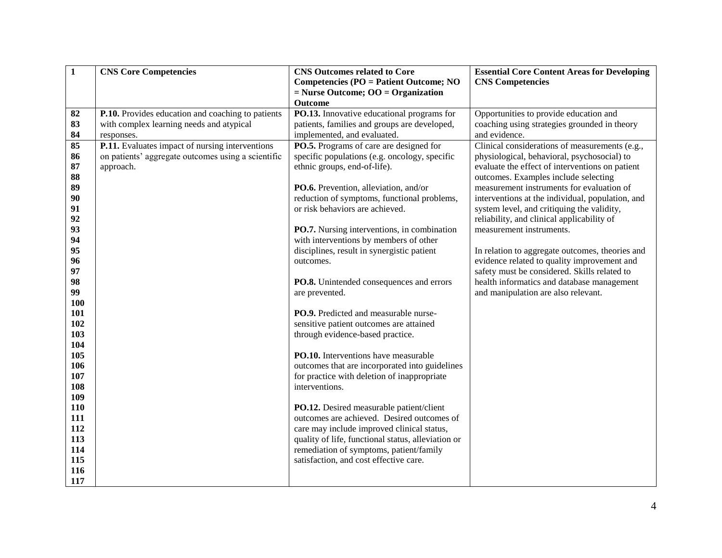| $\mathbf{1}$ | <b>CNS Core Competencies</b>                       | <b>CNS Outcomes related to Core</b>                | <b>Essential Core Content Areas for Developing</b> |
|--------------|----------------------------------------------------|----------------------------------------------------|----------------------------------------------------|
|              |                                                    | <b>Competencies (PO = Patient Outcome; NO</b>      | <b>CNS Competencies</b>                            |
|              |                                                    | $=$ Nurse Outcome; OO $=$ Organization             |                                                    |
|              |                                                    | Outcome                                            |                                                    |
| 82           | P.10. Provides education and coaching to patients  | PO.13. Innovative educational programs for         | Opportunities to provide education and             |
| 83           | with complex learning needs and atypical           | patients, families and groups are developed,       | coaching using strategies grounded in theory       |
| 84           | responses.                                         | implemented, and evaluated.                        | and evidence.                                      |
| 85           | P.11. Evaluates impact of nursing interventions    | PO.5. Programs of care are designed for            | Clinical considerations of measurements (e.g.,     |
| 86           | on patients' aggregate outcomes using a scientific | specific populations (e.g. oncology, specific      | physiological, behavioral, psychosocial) to        |
| 87           | approach.                                          | ethnic groups, end-of-life).                       | evaluate the effect of interventions on patient    |
| 88           |                                                    |                                                    | outcomes. Examples include selecting               |
| 89           |                                                    | PO.6. Prevention, alleviation, and/or              | measurement instruments for evaluation of          |
| 90           |                                                    | reduction of symptoms, functional problems,        | interventions at the individual, population, and   |
| 91           |                                                    | or risk behaviors are achieved.                    | system level, and critiquing the validity,         |
| 92           |                                                    |                                                    | reliability, and clinical applicability of         |
| 93           |                                                    | <b>PO.7.</b> Nursing interventions, in combination | measurement instruments.                           |
| 94           |                                                    | with interventions by members of other             |                                                    |
| 95           |                                                    | disciplines, result in synergistic patient         | In relation to aggregate outcomes, theories and    |
| 96           |                                                    | outcomes.                                          | evidence related to quality improvement and        |
| 97           |                                                    |                                                    | safety must be considered. Skills related to       |
| 98           |                                                    | PO.8. Unintended consequences and errors           | health informatics and database management         |
| 99<br>100    |                                                    | are prevented.                                     | and manipulation are also relevant.                |
| 101          |                                                    | PO.9. Predicted and measurable nurse-              |                                                    |
| 102          |                                                    | sensitive patient outcomes are attained            |                                                    |
| 103          |                                                    | through evidence-based practice.                   |                                                    |
| 104          |                                                    |                                                    |                                                    |
| 105          |                                                    | PO.10. Interventions have measurable               |                                                    |
| 106          |                                                    | outcomes that are incorporated into guidelines     |                                                    |
| 107          |                                                    | for practice with deletion of inappropriate        |                                                    |
| 108          |                                                    | interventions.                                     |                                                    |
| 109          |                                                    |                                                    |                                                    |
| 110          |                                                    | PO.12. Desired measurable patient/client           |                                                    |
| 111          |                                                    | outcomes are achieved. Desired outcomes of         |                                                    |
| 112          |                                                    | care may include improved clinical status,         |                                                    |
| 113          |                                                    | quality of life, functional status, alleviation or |                                                    |
| 114          |                                                    | remediation of symptoms, patient/family            |                                                    |
| 115          |                                                    | satisfaction, and cost effective care.             |                                                    |
| 116          |                                                    |                                                    |                                                    |
| 117          |                                                    |                                                    |                                                    |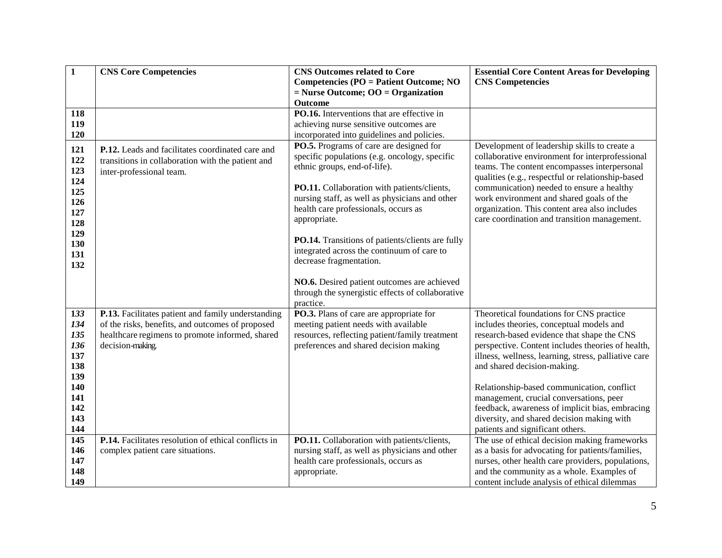| $\mathbf{1}$ | <b>CNS Core Competencies</b>                         | <b>CNS Outcomes related to Core</b>              | <b>Essential Core Content Areas for Developing</b>   |
|--------------|------------------------------------------------------|--------------------------------------------------|------------------------------------------------------|
|              |                                                      | <b>Competencies (PO = Patient Outcome; NO</b>    | <b>CNS Competencies</b>                              |
|              |                                                      | $=$ Nurse Outcome; OO $=$ Organization           |                                                      |
|              |                                                      | Outcome                                          |                                                      |
| 118          |                                                      | PO.16. Interventions that are effective in       |                                                      |
| 119          |                                                      | achieving nurse sensitive outcomes are           |                                                      |
| 120          |                                                      | incorporated into guidelines and policies.       |                                                      |
| 121          | P.12. Leads and facilitates coordinated care and     | PO.5. Programs of care are designed for          | Development of leadership skills to create a         |
| 122          | transitions in collaboration with the patient and    | specific populations (e.g. oncology, specific    | collaborative environment for interprofessional      |
| 123          | inter-professional team.                             | ethnic groups, end-of-life).                     | teams. The content encompasses interpersonal         |
| 124          |                                                      |                                                  | qualities (e.g., respectful or relationship-based    |
| 125          |                                                      | PO.11. Collaboration with patients/clients,      | communication) needed to ensure a healthy            |
| 126          |                                                      | nursing staff, as well as physicians and other   | work environment and shared goals of the             |
| 127          |                                                      | health care professionals, occurs as             | organization. This content area also includes        |
| 128          |                                                      | appropriate.                                     | care coordination and transition management.         |
| 129          |                                                      |                                                  |                                                      |
| 130          |                                                      | PO.14. Transitions of patients/clients are fully |                                                      |
| 131          |                                                      | integrated across the continuum of care to       |                                                      |
| 132          |                                                      | decrease fragmentation.                          |                                                      |
|              |                                                      | NO.6. Desired patient outcomes are achieved      |                                                      |
|              |                                                      | through the synergistic effects of collaborative |                                                      |
|              |                                                      | practice.                                        |                                                      |
| 133          | P.13. Facilitates patient and family understanding   | PO.3. Plans of care are appropriate for          | Theoretical foundations for CNS practice             |
| 134          | of the risks, benefits, and outcomes of proposed     | meeting patient needs with available             | includes theories, conceptual models and             |
| 135          | healthcare regimens to promote informed, shared      | resources, reflecting patient/family treatment   | research-based evidence that shape the CNS           |
| 136          | decision-making.                                     | preferences and shared decision making           | perspective. Content includes theories of health,    |
| 137          |                                                      |                                                  | illness, wellness, learning, stress, palliative care |
| 138          |                                                      |                                                  | and shared decision-making.                          |
| 139          |                                                      |                                                  |                                                      |
| 140          |                                                      |                                                  | Relationship-based communication, conflict           |
| 141          |                                                      |                                                  | management, crucial conversations, peer              |
| 142          |                                                      |                                                  | feedback, awareness of implicit bias, embracing      |
| 143          |                                                      |                                                  | diversity, and shared decision making with           |
| 144          |                                                      |                                                  | patients and significant others.                     |
| 145          | P.14. Facilitates resolution of ethical conflicts in | PO.11. Collaboration with patients/clients,      | The use of ethical decision making frameworks        |
| 146          | complex patient care situations.                     | nursing staff, as well as physicians and other   | as a basis for advocating for patients/families,     |
| 147          |                                                      | health care professionals, occurs as             | nurses, other health care providers, populations,    |
| 148          |                                                      | appropriate.                                     | and the community as a whole. Examples of            |
| 149          |                                                      |                                                  | content include analysis of ethical dilemmas         |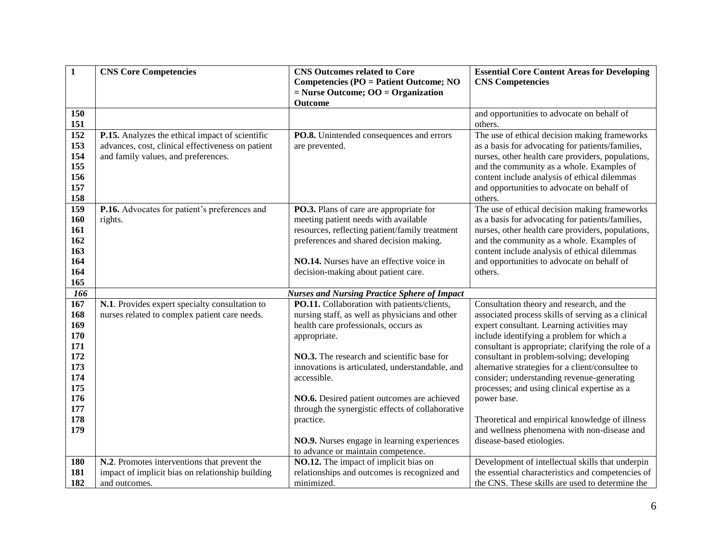| $\mathbf{1}$                                                                            | <b>CNS Core Competencies</b>                                                                                                                | <b>CNS Outcomes related to Core</b><br><b>Competencies (PO = Patient Outcome; NO</b><br>$=$ Nurse Outcome; OO $=$ Organization                                                                                                                                                                                                                                                        | <b>Essential Core Content Areas for Developing</b><br><b>CNS</b> Competencies                                                                                                                                                                                                                                                                                                                                                                                                                                                                                    |
|-----------------------------------------------------------------------------------------|---------------------------------------------------------------------------------------------------------------------------------------------|---------------------------------------------------------------------------------------------------------------------------------------------------------------------------------------------------------------------------------------------------------------------------------------------------------------------------------------------------------------------------------------|------------------------------------------------------------------------------------------------------------------------------------------------------------------------------------------------------------------------------------------------------------------------------------------------------------------------------------------------------------------------------------------------------------------------------------------------------------------------------------------------------------------------------------------------------------------|
|                                                                                         |                                                                                                                                             | Outcome                                                                                                                                                                                                                                                                                                                                                                               |                                                                                                                                                                                                                                                                                                                                                                                                                                                                                                                                                                  |
| 150<br>151                                                                              |                                                                                                                                             |                                                                                                                                                                                                                                                                                                                                                                                       | and opportunities to advocate on behalf of<br>others.                                                                                                                                                                                                                                                                                                                                                                                                                                                                                                            |
| 152<br>153<br>154<br>155<br>156<br>157<br>158                                           | P.15. Analyzes the ethical impact of scientific<br>advances, cost, clinical effectiveness on patient<br>and family values, and preferences. | PO.8. Unintended consequences and errors<br>are prevented.                                                                                                                                                                                                                                                                                                                            | The use of ethical decision making frameworks<br>as a basis for advocating for patients/families,<br>nurses, other health care providers, populations,<br>and the community as a whole. Examples of<br>content include analysis of ethical dilemmas<br>and opportunities to advocate on behalf of<br>others.                                                                                                                                                                                                                                                     |
| 159<br>160<br>161<br>162<br>163<br>164<br>164<br>165                                    | P.16. Advocates for patient's preferences and<br>rights.                                                                                    | PO.3. Plans of care are appropriate for<br>meeting patient needs with available<br>resources, reflecting patient/family treatment<br>preferences and shared decision making.<br>NO.14. Nurses have an effective voice in<br>decision-making about patient care.                                                                                                                       | The use of ethical decision making frameworks<br>as a basis for advocating for patients/families,<br>nurses, other health care providers, populations,<br>and the community as a whole. Examples of<br>content include analysis of ethical dilemmas<br>and opportunities to advocate on behalf of<br>others.                                                                                                                                                                                                                                                     |
| 166                                                                                     |                                                                                                                                             | <b>Nurses and Nursing Practice Sphere of Impact</b>                                                                                                                                                                                                                                                                                                                                   |                                                                                                                                                                                                                                                                                                                                                                                                                                                                                                                                                                  |
| 167<br>168<br>169<br>170<br>171<br>172<br>173<br>174<br>175<br>176<br>177<br>178<br>179 | N.1. Provides expert specialty consultation to<br>nurses related to complex patient care needs.                                             | PO.11. Collaboration with patients/clients,<br>nursing staff, as well as physicians and other<br>health care professionals, occurs as<br>appropriate.<br>NO.3. The research and scientific base for<br>innovations is articulated, understandable, and<br>accessible.<br>NO.6. Desired patient outcomes are achieved<br>through the synergistic effects of collaborative<br>practice. | Consultation theory and research, and the<br>associated process skills of serving as a clinical<br>expert consultant. Learning activities may<br>include identifying a problem for which a<br>consultant is appropriate; clarifying the role of a<br>consultant in problem-solving; developing<br>alternative strategies for a client/consultee to<br>consider; understanding revenue-generating<br>processes; and using clinical expertise as a<br>power base.<br>Theoretical and empirical knowledge of illness<br>and wellness phenomena with non-disease and |
|                                                                                         |                                                                                                                                             | NO.9. Nurses engage in learning experiences<br>to advance or maintain competence.                                                                                                                                                                                                                                                                                                     | disease-based etiologies.                                                                                                                                                                                                                                                                                                                                                                                                                                                                                                                                        |
| 180<br>181<br>182                                                                       | N.2. Promotes interventions that prevent the<br>impact of implicit bias on relationship building<br>and outcomes.                           | NO.12. The impact of implicit bias on<br>relationships and outcomes is recognized and<br>minimized.                                                                                                                                                                                                                                                                                   | Development of intellectual skills that underpin<br>the essential characteristics and competencies of<br>the CNS. These skills are used to determine the                                                                                                                                                                                                                                                                                                                                                                                                         |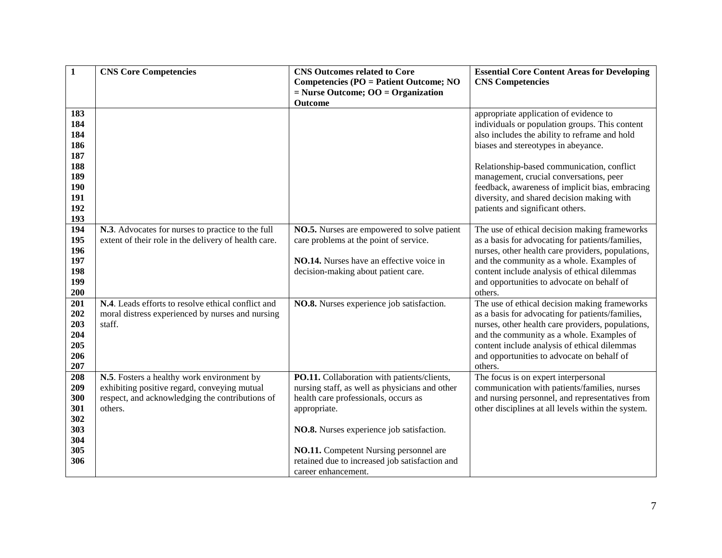| $\mathbf{1}$ | <b>CNS Core Competencies</b>                                                                              | <b>CNS Outcomes related to Core</b>                                                     | <b>Essential Core Content Areas for Developing</b>                                                |
|--------------|-----------------------------------------------------------------------------------------------------------|-----------------------------------------------------------------------------------------|---------------------------------------------------------------------------------------------------|
|              |                                                                                                           | <b>Competencies (PO = Patient Outcome; NO</b><br>$=$ Nurse Outcome; OO $=$ Organization | <b>CNS Competencies</b>                                                                           |
|              |                                                                                                           | <b>Outcome</b>                                                                          |                                                                                                   |
| 183          |                                                                                                           |                                                                                         | appropriate application of evidence to                                                            |
| 184          |                                                                                                           |                                                                                         | individuals or population groups. This content                                                    |
| 184          |                                                                                                           |                                                                                         | also includes the ability to reframe and hold                                                     |
| 186          |                                                                                                           |                                                                                         | biases and stereotypes in abeyance.                                                               |
| 187          |                                                                                                           |                                                                                         |                                                                                                   |
| 188          |                                                                                                           |                                                                                         | Relationship-based communication, conflict                                                        |
| 189          |                                                                                                           |                                                                                         | management, crucial conversations, peer                                                           |
| 190          |                                                                                                           |                                                                                         | feedback, awareness of implicit bias, embracing                                                   |
| 191          |                                                                                                           |                                                                                         | diversity, and shared decision making with                                                        |
| 192          |                                                                                                           |                                                                                         | patients and significant others.                                                                  |
| 193<br>194   |                                                                                                           |                                                                                         |                                                                                                   |
| 195          | N.3. Advocates for nurses to practice to the full<br>extent of their role in the delivery of health care. | NO.5. Nurses are empowered to solve patient<br>care problems at the point of service.   | The use of ethical decision making frameworks<br>as a basis for advocating for patients/families, |
| 196          |                                                                                                           |                                                                                         | nurses, other health care providers, populations,                                                 |
| 197          |                                                                                                           | NO.14. Nurses have an effective voice in                                                | and the community as a whole. Examples of                                                         |
| 198          |                                                                                                           | decision-making about patient care.                                                     | content include analysis of ethical dilemmas                                                      |
| 199          |                                                                                                           |                                                                                         | and opportunities to advocate on behalf of                                                        |
| 200          |                                                                                                           |                                                                                         | others.                                                                                           |
| 201          | N.4. Leads efforts to resolve ethical conflict and                                                        | NO.8. Nurses experience job satisfaction.                                               | The use of ethical decision making frameworks                                                     |
| 202          | moral distress experienced by nurses and nursing                                                          |                                                                                         | as a basis for advocating for patients/families,                                                  |
| 203          | staff.                                                                                                    |                                                                                         | nurses, other health care providers, populations,                                                 |
| 204          |                                                                                                           |                                                                                         | and the community as a whole. Examples of                                                         |
| 205          |                                                                                                           |                                                                                         | content include analysis of ethical dilemmas                                                      |
| 206          |                                                                                                           |                                                                                         | and opportunities to advocate on behalf of                                                        |
| 207          |                                                                                                           |                                                                                         | others.                                                                                           |
| 208          | N.5. Fosters a healthy work environment by                                                                | PO.11. Collaboration with patients/clients,                                             | The focus is on expert interpersonal                                                              |
| 209          | exhibiting positive regard, conveying mutual                                                              | nursing staff, as well as physicians and other                                          | communication with patients/families, nurses                                                      |
| 300<br>301   | respect, and acknowledging the contributions of                                                           | health care professionals, occurs as                                                    | and nursing personnel, and representatives from                                                   |
| 302          | others.                                                                                                   | appropriate.                                                                            | other disciplines at all levels within the system.                                                |
| 303          |                                                                                                           | NO.8. Nurses experience job satisfaction.                                               |                                                                                                   |
| 304          |                                                                                                           |                                                                                         |                                                                                                   |
| 305          |                                                                                                           | NO.11. Competent Nursing personnel are                                                  |                                                                                                   |
| 306          |                                                                                                           | retained due to increased job satisfaction and                                          |                                                                                                   |
|              |                                                                                                           | career enhancement.                                                                     |                                                                                                   |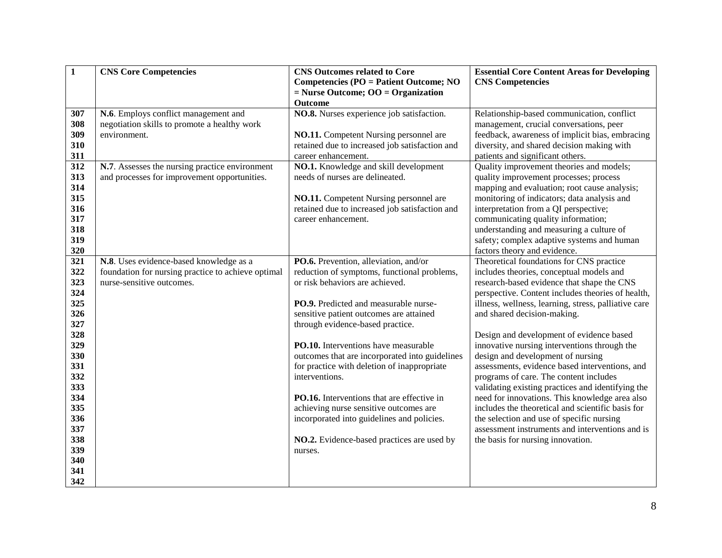| $\mathbf{1}$ | <b>CNS Core Competencies</b>                       | <b>CNS Outcomes related to Core</b>                                                  | <b>Essential Core Content Areas for Developing</b>                                             |
|--------------|----------------------------------------------------|--------------------------------------------------------------------------------------|------------------------------------------------------------------------------------------------|
|              |                                                    | <b>Competencies (PO = Patient Outcome; NO</b>                                        | <b>CNS Competencies</b>                                                                        |
|              |                                                    | $=$ Nurse Outcome; OO $=$ Organization                                               |                                                                                                |
|              |                                                    | Outcome                                                                              |                                                                                                |
| 307          | N.6. Employs conflict management and               | NO.8. Nurses experience job satisfaction.                                            | Relationship-based communication, conflict                                                     |
| 308          | negotiation skills to promote a healthy work       |                                                                                      | management, crucial conversations, peer                                                        |
| 309          | environment.                                       | <b>NO.11.</b> Competent Nursing personnel are                                        | feedback, awareness of implicit bias, embracing                                                |
| 310          |                                                    | retained due to increased job satisfaction and                                       | diversity, and shared decision making with                                                     |
| 311          |                                                    | career enhancement.                                                                  | patients and significant others.                                                               |
| 312          | N.7. Assesses the nursing practice environment     | NO.1. Knowledge and skill development                                                | Quality improvement theories and models;                                                       |
| 313          | and processes for improvement opportunities.       | needs of nurses are delineated.                                                      | quality improvement processes; process                                                         |
| 314          |                                                    |                                                                                      | mapping and evaluation; root cause analysis;                                                   |
| 315          |                                                    | NO.11. Competent Nursing personnel are                                               | monitoring of indicators; data analysis and                                                    |
| 316          |                                                    | retained due to increased job satisfaction and                                       | interpretation from a QI perspective;                                                          |
| 317          |                                                    | career enhancement.                                                                  | communicating quality information;                                                             |
| 318          |                                                    |                                                                                      | understanding and measuring a culture of                                                       |
| 319          |                                                    |                                                                                      | safety; complex adaptive systems and human                                                     |
| 320          |                                                    |                                                                                      | factors theory and evidence.                                                                   |
| 321          | N.8. Uses evidence-based knowledge as a            | PO.6. Prevention, alleviation, and/or                                                | Theoretical foundations for CNS practice                                                       |
| 322          | foundation for nursing practice to achieve optimal | reduction of symptoms, functional problems,                                          | includes theories, conceptual models and                                                       |
| 323          | nurse-sensitive outcomes.                          | or risk behaviors are achieved.                                                      | research-based evidence that shape the CNS                                                     |
| 324          |                                                    |                                                                                      | perspective. Content includes theories of health,                                              |
| 325          |                                                    | PO.9. Predicted and measurable nurse-                                                | illness, wellness, learning, stress, palliative care                                           |
| 326          |                                                    | sensitive patient outcomes are attained                                              | and shared decision-making.                                                                    |
| 327          |                                                    | through evidence-based practice.                                                     |                                                                                                |
| 328          |                                                    |                                                                                      | Design and development of evidence based                                                       |
| 329          |                                                    | PO.10. Interventions have measurable                                                 | innovative nursing interventions through the                                                   |
| 330          |                                                    | outcomes that are incorporated into guidelines                                       | design and development of nursing                                                              |
| 331          |                                                    | for practice with deletion of inappropriate                                          | assessments, evidence based interventions, and                                                 |
| 332          |                                                    | interventions.                                                                       | programs of care. The content includes                                                         |
| 333          |                                                    |                                                                                      | validating existing practices and identifying the                                              |
| 334<br>335   |                                                    | PO.16. Interventions that are effective in                                           | need for innovations. This knowledge area also                                                 |
| 336          |                                                    | achieving nurse sensitive outcomes are<br>incorporated into guidelines and policies. | includes the theoretical and scientific basis for<br>the selection and use of specific nursing |
| 337          |                                                    |                                                                                      | assessment instruments and interventions and is                                                |
| 338          |                                                    | NO.2. Evidence-based practices are used by                                           | the basis for nursing innovation.                                                              |
| 339          |                                                    | nurses.                                                                              |                                                                                                |
| 340          |                                                    |                                                                                      |                                                                                                |
| 341          |                                                    |                                                                                      |                                                                                                |
| 342          |                                                    |                                                                                      |                                                                                                |
|              |                                                    |                                                                                      |                                                                                                |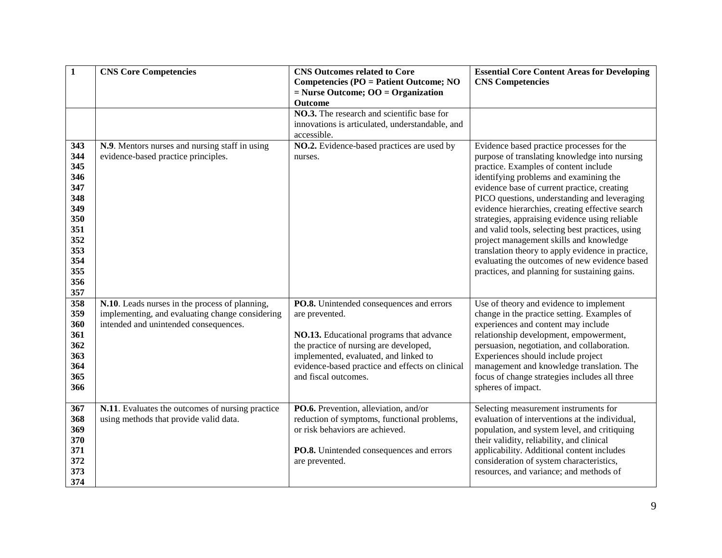| $\mathbf{1}$                                                                                          | <b>CNS Core Competencies</b>                                                                                                               | <b>CNS Outcomes related to Core</b><br><b>Competencies (PO = Patient Outcome; NO</b><br>$=$ Nurse Outcome; OO $=$ Organization                                                                                                                                       | <b>Essential Core Content Areas for Developing</b><br><b>CNS Competencies</b>                                                                                                                                                                                                                                                                                                                                                                                                                                                                                                                                                           |
|-------------------------------------------------------------------------------------------------------|--------------------------------------------------------------------------------------------------------------------------------------------|----------------------------------------------------------------------------------------------------------------------------------------------------------------------------------------------------------------------------------------------------------------------|-----------------------------------------------------------------------------------------------------------------------------------------------------------------------------------------------------------------------------------------------------------------------------------------------------------------------------------------------------------------------------------------------------------------------------------------------------------------------------------------------------------------------------------------------------------------------------------------------------------------------------------------|
|                                                                                                       |                                                                                                                                            | Outcome<br>NO.3. The research and scientific base for<br>innovations is articulated, understandable, and<br>accessible.                                                                                                                                              |                                                                                                                                                                                                                                                                                                                                                                                                                                                                                                                                                                                                                                         |
| 343<br>344<br>345<br>346<br>347<br>348<br>349<br>350<br>351<br>352<br>353<br>354<br>355<br>356<br>357 | N.9. Mentors nurses and nursing staff in using<br>evidence-based practice principles.                                                      | NO.2. Evidence-based practices are used by<br>nurses.                                                                                                                                                                                                                | Evidence based practice processes for the<br>purpose of translating knowledge into nursing<br>practice. Examples of content include<br>identifying problems and examining the<br>evidence base of current practice, creating<br>PICO questions, understanding and leveraging<br>evidence hierarchies, creating effective search<br>strategies, appraising evidence using reliable<br>and valid tools, selecting best practices, using<br>project management skills and knowledge<br>translation theory to apply evidence in practice,<br>evaluating the outcomes of new evidence based<br>practices, and planning for sustaining gains. |
| 358<br>359<br>360<br>361<br>362<br>363<br>364<br>365<br>366                                           | N.10. Leads nurses in the process of planning,<br>implementing, and evaluating change considering<br>intended and unintended consequences. | PO.8. Unintended consequences and errors<br>are prevented.<br>NO.13. Educational programs that advance<br>the practice of nursing are developed,<br>implemented, evaluated, and linked to<br>evidence-based practice and effects on clinical<br>and fiscal outcomes. | Use of theory and evidence to implement<br>change in the practice setting. Examples of<br>experiences and content may include<br>relationship development, empowerment,<br>persuasion, negotiation, and collaboration.<br>Experiences should include project<br>management and knowledge translation. The<br>focus of change strategies includes all three<br>spheres of impact.                                                                                                                                                                                                                                                        |
| 367<br>368<br>369<br>370<br>371<br>372<br>373<br>374                                                  | N.11. Evaluates the outcomes of nursing practice<br>using methods that provide valid data.                                                 | PO.6. Prevention, alleviation, and/or<br>reduction of symptoms, functional problems,<br>or risk behaviors are achieved.<br>PO.8. Unintended consequences and errors<br>are prevented.                                                                                | Selecting measurement instruments for<br>evaluation of interventions at the individual,<br>population, and system level, and critiquing<br>their validity, reliability, and clinical<br>applicability. Additional content includes<br>consideration of system characteristics,<br>resources, and variance; and methods of                                                                                                                                                                                                                                                                                                               |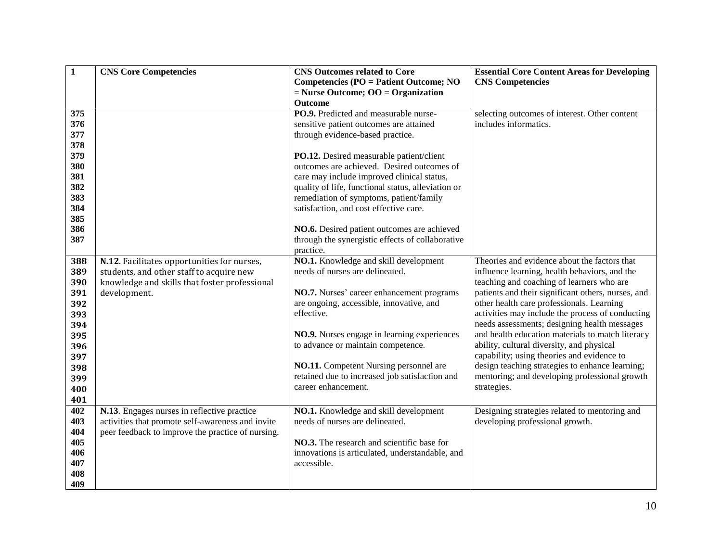| $\mathbf{1}$ | <b>CNS Core Competencies</b>                      | <b>CNS Outcomes related to Core</b>                                               | <b>Essential Core Content Areas for Developing</b> |
|--------------|---------------------------------------------------|-----------------------------------------------------------------------------------|----------------------------------------------------|
|              |                                                   | <b>Competencies (PO = Patient Outcome; NO</b>                                     | <b>CNS Competencies</b>                            |
|              |                                                   | $=$ Nurse Outcome; OO $=$ Organization                                            |                                                    |
|              |                                                   | Outcome                                                                           |                                                    |
| 375          |                                                   | PO.9. Predicted and measurable nurse-                                             | selecting outcomes of interest. Other content      |
| 376          |                                                   | sensitive patient outcomes are attained                                           | includes informatics.                              |
| 377          |                                                   | through evidence-based practice.                                                  |                                                    |
| 378          |                                                   |                                                                                   |                                                    |
| 379          |                                                   | PO.12. Desired measurable patient/client                                          |                                                    |
| 380          |                                                   | outcomes are achieved. Desired outcomes of                                        |                                                    |
| 381          |                                                   | care may include improved clinical status,                                        |                                                    |
| 382          |                                                   | quality of life, functional status, alleviation or                                |                                                    |
| 383<br>384   |                                                   | remediation of symptoms, patient/family<br>satisfaction, and cost effective care. |                                                    |
| 385          |                                                   |                                                                                   |                                                    |
| 386          |                                                   | NO.6. Desired patient outcomes are achieved                                       |                                                    |
| 387          |                                                   | through the synergistic effects of collaborative                                  |                                                    |
|              |                                                   | practice.                                                                         |                                                    |
| 388          | N.12. Facilitates opportunities for nurses,       | NO.1. Knowledge and skill development                                             | Theories and evidence about the factors that       |
| 389          | students, and other staff to acquire new          | needs of nurses are delineated.                                                   | influence learning, health behaviors, and the      |
| 390          | knowledge and skills that foster professional     |                                                                                   | teaching and coaching of learners who are          |
| 391          | development.                                      | NO.7. Nurses' career enhancement programs                                         | patients and their significant others, nurses, and |
| 392          |                                                   | are ongoing, accessible, innovative, and                                          | other health care professionals. Learning          |
| 393          |                                                   | effective.                                                                        | activities may include the process of conducting   |
| 394          |                                                   |                                                                                   | needs assessments; designing health messages       |
| 395          |                                                   | NO.9. Nurses engage in learning experiences                                       | and health education materials to match literacy   |
| 396          |                                                   | to advance or maintain competence.                                                | ability, cultural diversity, and physical          |
| 397          |                                                   |                                                                                   | capability; using theories and evidence to         |
| 398          |                                                   | NO.11. Competent Nursing personnel are                                            | design teaching strategies to enhance learning;    |
| 399          |                                                   | retained due to increased job satisfaction and                                    | mentoring; and developing professional growth      |
| 400          |                                                   | career enhancement.                                                               | strategies.                                        |
| 401          |                                                   |                                                                                   |                                                    |
| 402          | N.13. Engages nurses in reflective practice       | NO.1. Knowledge and skill development                                             | Designing strategies related to mentoring and      |
| 403          | activities that promote self-awareness and invite | needs of nurses are delineated.                                                   | developing professional growth.                    |
| 404          | peer feedback to improve the practice of nursing. |                                                                                   |                                                    |
| 405          |                                                   | NO.3. The research and scientific base for                                        |                                                    |
| 406          |                                                   | innovations is articulated, understandable, and                                   |                                                    |
| 407          |                                                   | accessible.                                                                       |                                                    |
| 408          |                                                   |                                                                                   |                                                    |
| 409          |                                                   |                                                                                   |                                                    |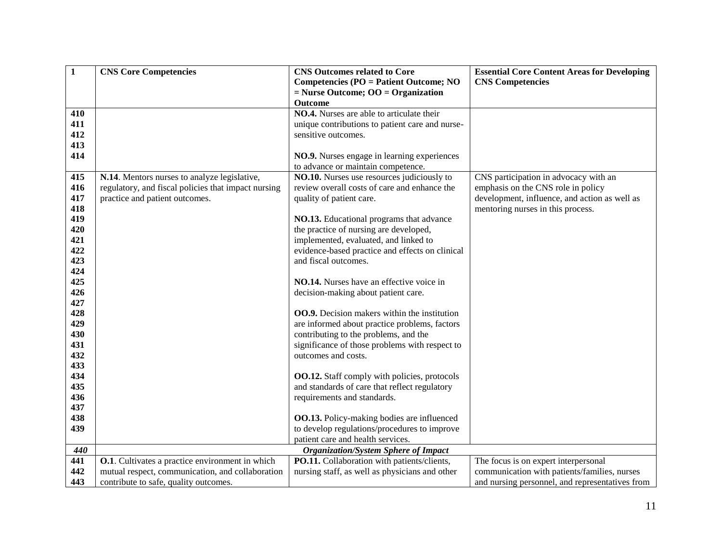| $\mathbf{1}$ | <b>CNS Core Competencies</b>                            | <b>CNS Outcomes related to Core</b>                                               | <b>Essential Core Content Areas for Developing</b> |
|--------------|---------------------------------------------------------|-----------------------------------------------------------------------------------|----------------------------------------------------|
|              |                                                         | <b>Competencies (PO = Patient Outcome; NO</b>                                     | <b>CNS Competencies</b>                            |
|              |                                                         | $=$ Nurse Outcome; OO $=$ Organization                                            |                                                    |
|              |                                                         | <b>Outcome</b>                                                                    |                                                    |
| 410          |                                                         | <b>NO.4.</b> Nurses are able to articulate their                                  |                                                    |
| 411          |                                                         | unique contributions to patient care and nurse-                                   |                                                    |
| 412          |                                                         | sensitive outcomes.                                                               |                                                    |
| 413          |                                                         |                                                                                   |                                                    |
| 414          |                                                         | NO.9. Nurses engage in learning experiences                                       |                                                    |
|              |                                                         | to advance or maintain competence.                                                |                                                    |
| 415          | N.14. Mentors nurses to analyze legislative,            | NO.10. Nurses use resources judiciously to                                        | CNS participation in advocacy with an              |
| 416          | regulatory, and fiscal policies that impact nursing     | review overall costs of care and enhance the                                      | emphasis on the CNS role in policy                 |
| 417          | practice and patient outcomes.                          | quality of patient care.                                                          | development, influence, and action as well as      |
| 418          |                                                         |                                                                                   | mentoring nurses in this process.                  |
| 419          |                                                         | NO.13. Educational programs that advance                                          |                                                    |
| 420          |                                                         | the practice of nursing are developed,                                            |                                                    |
| 421          |                                                         | implemented, evaluated, and linked to                                             |                                                    |
| 422          |                                                         | evidence-based practice and effects on clinical                                   |                                                    |
| 423          |                                                         | and fiscal outcomes.                                                              |                                                    |
| 424          |                                                         |                                                                                   |                                                    |
| 425          |                                                         | NO.14. Nurses have an effective voice in                                          |                                                    |
| 426          |                                                         | decision-making about patient care.                                               |                                                    |
| 427          |                                                         |                                                                                   |                                                    |
| 428          |                                                         | <b>OO.9.</b> Decision makers within the institution                               |                                                    |
| 429          |                                                         | are informed about practice problems, factors                                     |                                                    |
| 430          |                                                         | contributing to the problems, and the                                             |                                                    |
| 431          |                                                         | significance of those problems with respect to                                    |                                                    |
| 432          |                                                         | outcomes and costs.                                                               |                                                    |
| 433          |                                                         |                                                                                   |                                                    |
| 434          |                                                         | <b>OO.12.</b> Staff comply with policies, protocols                               |                                                    |
| 435          |                                                         | and standards of care that reflect regulatory                                     |                                                    |
| 436<br>437   |                                                         | requirements and standards.                                                       |                                                    |
| 438          |                                                         |                                                                                   |                                                    |
| 439          |                                                         | <b>OO.13.</b> Policy-making bodies are influenced                                 |                                                    |
|              |                                                         | to develop regulations/procedures to improve<br>patient care and health services. |                                                    |
| 440          |                                                         | <b>Organization/System Sphere of Impact</b>                                       |                                                    |
| 441          | <b>O.1</b> . Cultivates a practice environment in which | PO.11. Collaboration with patients/clients,                                       | The focus is on expert interpersonal               |
| 442          | mutual respect, communication, and collaboration        | nursing staff, as well as physicians and other                                    | communication with patients/families, nurses       |
|              |                                                         |                                                                                   |                                                    |
| 443          | contribute to safe, quality outcomes.                   |                                                                                   | and nursing personnel, and representatives from    |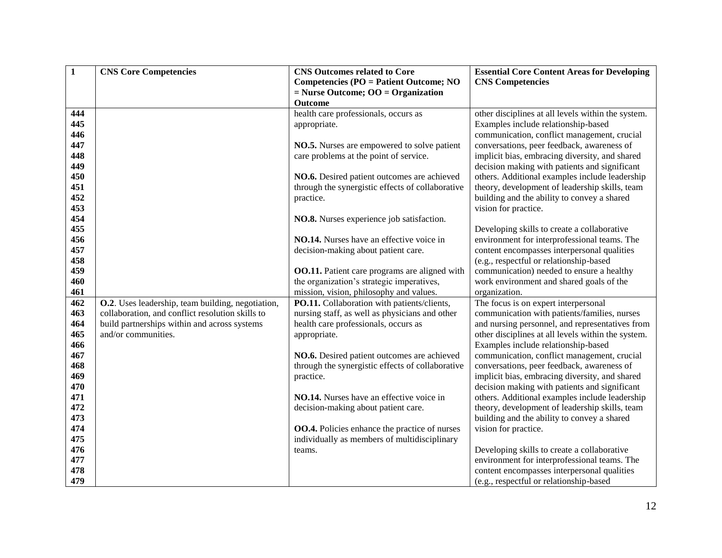| $\mathbf{1}$ | <b>CNS Core Competencies</b>                                                                          | <b>CNS Outcomes related to Core</b>                  | <b>Essential Core Content Areas for Developing</b>                                                    |
|--------------|-------------------------------------------------------------------------------------------------------|------------------------------------------------------|-------------------------------------------------------------------------------------------------------|
|              |                                                                                                       | <b>Competencies (PO = Patient Outcome; NO</b>        | <b>CNS Competencies</b>                                                                               |
|              |                                                                                                       | $=$ Nurse Outcome; OO $=$ Organization               |                                                                                                       |
|              |                                                                                                       | Outcome                                              |                                                                                                       |
| 444          |                                                                                                       | health care professionals, occurs as                 | other disciplines at all levels within the system.                                                    |
| 445          |                                                                                                       | appropriate.                                         | Examples include relationship-based                                                                   |
| 446          |                                                                                                       |                                                      | communication, conflict management, crucial                                                           |
| 447          |                                                                                                       | NO.5. Nurses are empowered to solve patient          | conversations, peer feedback, awareness of                                                            |
| 448          |                                                                                                       | care problems at the point of service.               | implicit bias, embracing diversity, and shared                                                        |
| 449          |                                                                                                       |                                                      | decision making with patients and significant                                                         |
| 450          |                                                                                                       | NO.6. Desired patient outcomes are achieved          | others. Additional examples include leadership                                                        |
| 451          |                                                                                                       | through the synergistic effects of collaborative     | theory, development of leadership skills, team                                                        |
| 452          |                                                                                                       | practice.                                            | building and the ability to convey a shared                                                           |
| 453          |                                                                                                       |                                                      | vision for practice.                                                                                  |
| 454          |                                                                                                       | NO.8. Nurses experience job satisfaction.            |                                                                                                       |
| 455          |                                                                                                       |                                                      | Developing skills to create a collaborative                                                           |
| 456          |                                                                                                       | NO.14. Nurses have an effective voice in             | environment for interprofessional teams. The                                                          |
| 457          |                                                                                                       | decision-making about patient care.                  | content encompasses interpersonal qualities                                                           |
| 458          |                                                                                                       |                                                      | (e.g., respectful or relationship-based                                                               |
| 459          |                                                                                                       | <b>OO.11.</b> Patient care programs are aligned with | communication) needed to ensure a healthy                                                             |
| 460          |                                                                                                       | the organization's strategic imperatives,            | work environment and shared goals of the                                                              |
| 461          |                                                                                                       | mission, vision, philosophy and values.              | organization.                                                                                         |
| 462<br>463   | O.2. Uses leadership, team building, negotiation,<br>collaboration, and conflict resolution skills to | PO.11. Collaboration with patients/clients,          | The focus is on expert interpersonal                                                                  |
| 464          |                                                                                                       | nursing staff, as well as physicians and other       | communication with patients/families, nurses                                                          |
| 465          | build partnerships within and across systems<br>and/or communities.                                   | health care professionals, occurs as                 | and nursing personnel, and representatives from<br>other disciplines at all levels within the system. |
| 466          |                                                                                                       | appropriate.                                         | Examples include relationship-based                                                                   |
| 467          |                                                                                                       | NO.6. Desired patient outcomes are achieved          | communication, conflict management, crucial                                                           |
| 468          |                                                                                                       | through the synergistic effects of collaborative     | conversations, peer feedback, awareness of                                                            |
| 469          |                                                                                                       | practice.                                            | implicit bias, embracing diversity, and shared                                                        |
| 470          |                                                                                                       |                                                      | decision making with patients and significant                                                         |
| 471          |                                                                                                       | NO.14. Nurses have an effective voice in             | others. Additional examples include leadership                                                        |
| 472          |                                                                                                       | decision-making about patient care.                  | theory, development of leadership skills, team                                                        |
| 473          |                                                                                                       |                                                      | building and the ability to convey a shared                                                           |
| 474          |                                                                                                       | <b>OO.4.</b> Policies enhance the practice of nurses | vision for practice.                                                                                  |
| 475          |                                                                                                       | individually as members of multidisciplinary         |                                                                                                       |
| 476          |                                                                                                       | teams.                                               | Developing skills to create a collaborative                                                           |
| 477          |                                                                                                       |                                                      | environment for interprofessional teams. The                                                          |
| 478          |                                                                                                       |                                                      | content encompasses interpersonal qualities                                                           |
| 479          |                                                                                                       |                                                      | (e.g., respectful or relationship-based                                                               |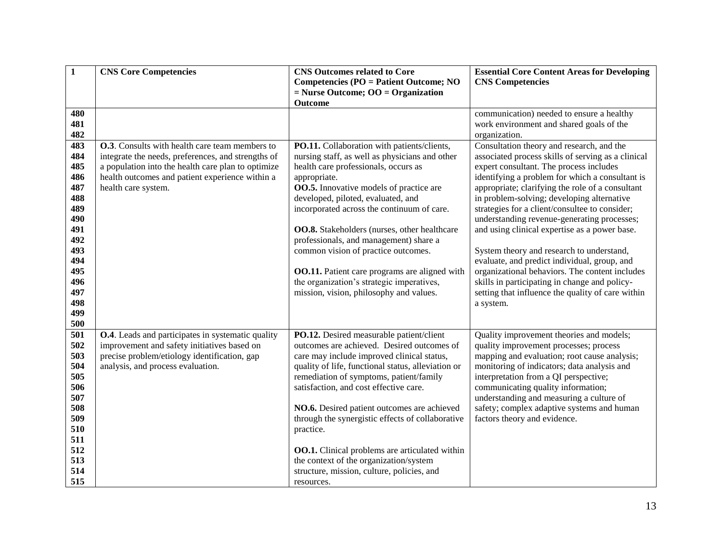| $\mathbf{1}$ | <b>CNS Core Competencies</b>                           | <b>CNS Outcomes related to Core</b>                   | <b>Essential Core Content Areas for Developing</b> |
|--------------|--------------------------------------------------------|-------------------------------------------------------|----------------------------------------------------|
|              |                                                        | <b>Competencies (PO = Patient Outcome; NO</b>         | <b>CNS Competencies</b>                            |
|              |                                                        | $=$ Nurse Outcome; OO $=$ Organization                |                                                    |
|              |                                                        | Outcome                                               |                                                    |
| 480          |                                                        |                                                       | communication) needed to ensure a healthy          |
| 481          |                                                        |                                                       | work environment and shared goals of the           |
| 482          |                                                        |                                                       | organization.                                      |
| 483          | <b>O.3</b> . Consults with health care team members to | PO.11. Collaboration with patients/clients,           | Consultation theory and research, and the          |
| 484          | integrate the needs, preferences, and strengths of     | nursing staff, as well as physicians and other        | associated process skills of serving as a clinical |
| 485          | a population into the health care plan to optimize     | health care professionals, occurs as                  | expert consultant. The process includes            |
| 486          | health outcomes and patient experience within a        | appropriate.                                          | identifying a problem for which a consultant is    |
| 487          | health care system.                                    | <b>OO.5.</b> Innovative models of practice are        | appropriate; clarifying the role of a consultant   |
| 488          |                                                        | developed, piloted, evaluated, and                    | in problem-solving; developing alternative         |
| 489          |                                                        | incorporated across the continuum of care.            | strategies for a client/consultee to consider;     |
| 490          |                                                        |                                                       | understanding revenue-generating processes;        |
| 491          |                                                        | OO.8. Stakeholders (nurses, other healthcare          | and using clinical expertise as a power base.      |
| 492          |                                                        | professionals, and management) share a                |                                                    |
| 493          |                                                        | common vision of practice outcomes.                   | System theory and research to understand,          |
| 494          |                                                        |                                                       | evaluate, and predict individual, group, and       |
| 495          |                                                        | <b>OO.11.</b> Patient care programs are aligned with  | organizational behaviors. The content includes     |
| 496          |                                                        | the organization's strategic imperatives,             | skills in participating in change and policy-      |
| 497          |                                                        | mission, vision, philosophy and values.               | setting that influence the quality of care within  |
| 498          |                                                        |                                                       | a system.                                          |
| 499          |                                                        |                                                       |                                                    |
| 500          |                                                        |                                                       |                                                    |
| 501          | O.4. Leads and participates in systematic quality      | PO.12. Desired measurable patient/client              | Quality improvement theories and models;           |
| 502          | improvement and safety initiatives based on            | outcomes are achieved. Desired outcomes of            | quality improvement processes; process             |
| 503          | precise problem/etiology identification, gap           | care may include improved clinical status,            | mapping and evaluation; root cause analysis;       |
| 504          | analysis, and process evaluation.                      | quality of life, functional status, alleviation or    | monitoring of indicators; data analysis and        |
| 505          |                                                        | remediation of symptoms, patient/family               | interpretation from a QI perspective;              |
| 506          |                                                        | satisfaction, and cost effective care.                | communicating quality information;                 |
| 507          |                                                        |                                                       | understanding and measuring a culture of           |
| 508          |                                                        | NO.6. Desired patient outcomes are achieved           | safety; complex adaptive systems and human         |
| 509          |                                                        | through the synergistic effects of collaborative      | factors theory and evidence.                       |
| 510          |                                                        | practice.                                             |                                                    |
| 511          |                                                        |                                                       |                                                    |
| 512          |                                                        | <b>OO.1.</b> Clinical problems are articulated within |                                                    |
| 513          |                                                        | the context of the organization/system                |                                                    |
| 514          |                                                        | structure, mission, culture, policies, and            |                                                    |
| 515          |                                                        | resources.                                            |                                                    |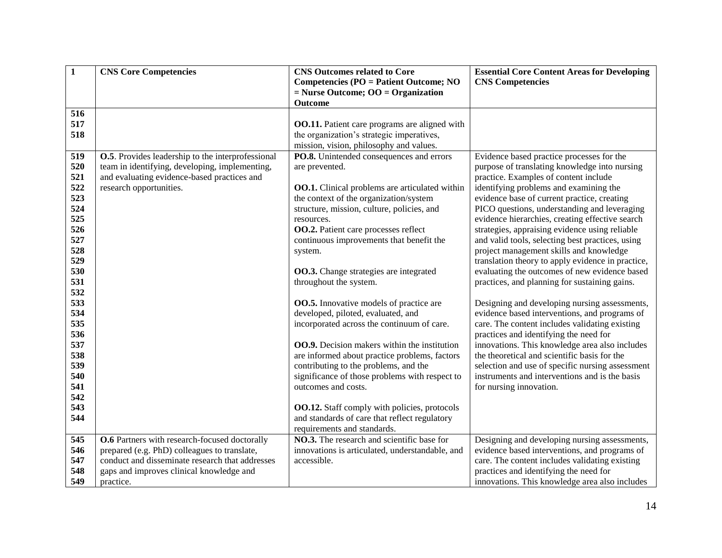| $\mathbf{1}$ | <b>CNS Core Competencies</b>                              | <b>CNS Outcomes related to Core</b>                                       | <b>Essential Core Content Areas for Developing</b>                                                 |
|--------------|-----------------------------------------------------------|---------------------------------------------------------------------------|----------------------------------------------------------------------------------------------------|
|              |                                                           | Competencies (PO = Patient Outcome; NO                                    | <b>CNS Competencies</b>                                                                            |
|              |                                                           | $=$ Nurse Outcome; OO $=$ Organization<br>Outcome                         |                                                                                                    |
| 516          |                                                           |                                                                           |                                                                                                    |
| 517          |                                                           | <b>OO.11.</b> Patient care programs are aligned with                      |                                                                                                    |
| 518          |                                                           | the organization's strategic imperatives,                                 |                                                                                                    |
|              |                                                           | mission, vision, philosophy and values.                                   |                                                                                                    |
| 519          | <b>O.5</b> . Provides leadership to the interprofessional | PO.8. Unintended consequences and errors                                  | Evidence based practice processes for the                                                          |
| 520          | team in identifying, developing, implementing,            | are prevented.                                                            | purpose of translating knowledge into nursing                                                      |
| 521          | and evaluating evidence-based practices and               |                                                                           | practice. Examples of content include                                                              |
| 522          | research opportunities.                                   | <b>OO.1.</b> Clinical problems are articulated within                     | identifying problems and examining the                                                             |
| 523          |                                                           | the context of the organization/system                                    | evidence base of current practice, creating                                                        |
| 524          |                                                           | structure, mission, culture, policies, and                                | PICO questions, understanding and leveraging                                                       |
| 525          |                                                           | resources.                                                                | evidence hierarchies, creating effective search                                                    |
| 526          |                                                           | <b>OO.2.</b> Patient care processes reflect                               | strategies, appraising evidence using reliable                                                     |
| 527          |                                                           | continuous improvements that benefit the                                  | and valid tools, selecting best practices, using                                                   |
| 528<br>529   |                                                           | system.                                                                   | project management skills and knowledge                                                            |
| 530          |                                                           |                                                                           | translation theory to apply evidence in practice,<br>evaluating the outcomes of new evidence based |
| 531          |                                                           | OO.3. Change strategies are integrated<br>throughout the system.          | practices, and planning for sustaining gains.                                                      |
| 532          |                                                           |                                                                           |                                                                                                    |
| 533          |                                                           | <b>OO.5.</b> Innovative models of practice are                            | Designing and developing nursing assessments,                                                      |
| 534          |                                                           | developed, piloted, evaluated, and                                        | evidence based interventions, and programs of                                                      |
| 535          |                                                           | incorporated across the continuum of care.                                | care. The content includes validating existing                                                     |
| 536          |                                                           |                                                                           | practices and identifying the need for                                                             |
| 537          |                                                           | <b>OO.9.</b> Decision makers within the institution                       | innovations. This knowledge area also includes                                                     |
| 538          |                                                           | are informed about practice problems, factors                             | the theoretical and scientific basis for the                                                       |
| 539          |                                                           | contributing to the problems, and the                                     | selection and use of specific nursing assessment                                                   |
| 540          |                                                           | significance of those problems with respect to                            | instruments and interventions and is the basis                                                     |
| 541          |                                                           | outcomes and costs.                                                       | for nursing innovation.                                                                            |
| 542          |                                                           |                                                                           |                                                                                                    |
| 543          |                                                           | <b>OO.12.</b> Staff comply with policies, protocols                       |                                                                                                    |
| 544          |                                                           | and standards of care that reflect regulatory                             |                                                                                                    |
| 545          | <b>O.6</b> Partners with research-focused doctorally      | requirements and standards.<br>NO.3. The research and scientific base for |                                                                                                    |
| 546          | prepared (e.g. PhD) colleagues to translate,              | innovations is articulated, understandable, and                           | Designing and developing nursing assessments,<br>evidence based interventions, and programs of     |
| 547          | conduct and disseminate research that addresses           | accessible.                                                               | care. The content includes validating existing                                                     |
| 548          | gaps and improves clinical knowledge and                  |                                                                           | practices and identifying the need for                                                             |
| 549          | practice.                                                 |                                                                           | innovations. This knowledge area also includes                                                     |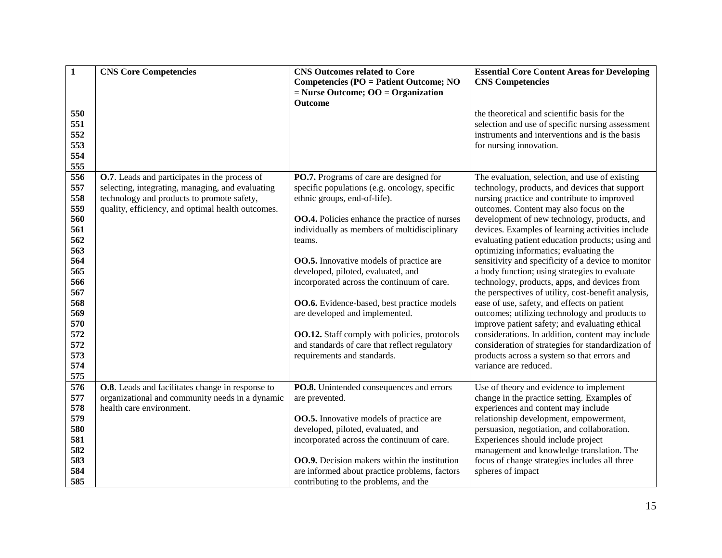| $\mathbf{1}$            | <b>CNS Core Competencies</b>                                                                        | <b>CNS Outcomes related to Core</b><br><b>Competencies (PO = Patient Outcome; NO</b><br>$=$ Nurse Outcome; OO $=$ Organization | <b>Essential Core Content Areas for Developing</b><br><b>CNS Competencies</b>              |
|-------------------------|-----------------------------------------------------------------------------------------------------|--------------------------------------------------------------------------------------------------------------------------------|--------------------------------------------------------------------------------------------|
|                         |                                                                                                     | <b>Outcome</b>                                                                                                                 |                                                                                            |
| 550                     |                                                                                                     |                                                                                                                                | the theoretical and scientific basis for the                                               |
| 551                     |                                                                                                     |                                                                                                                                | selection and use of specific nursing assessment                                           |
| 552                     |                                                                                                     |                                                                                                                                | instruments and interventions and is the basis                                             |
| 553                     |                                                                                                     |                                                                                                                                | for nursing innovation.                                                                    |
| 554                     |                                                                                                     |                                                                                                                                |                                                                                            |
| 555                     |                                                                                                     |                                                                                                                                |                                                                                            |
| 556                     | O.7. Leads and participates in the process of                                                       | PO.7. Programs of care are designed for                                                                                        | The evaluation, selection, and use of existing                                             |
| 557                     | selecting, integrating, managing, and evaluating                                                    | specific populations (e.g. oncology, specific                                                                                  | technology, products, and devices that support                                             |
| 558                     | technology and products to promote safety,                                                          | ethnic groups, end-of-life).                                                                                                   | nursing practice and contribute to improved                                                |
| 559                     | quality, efficiency, and optimal health outcomes.                                                   |                                                                                                                                | outcomes. Content may also focus on the                                                    |
| 560                     |                                                                                                     | <b>OO.4.</b> Policies enhance the practice of nurses                                                                           | development of new technology, products, and                                               |
| 561<br>562              |                                                                                                     | individually as members of multidisciplinary                                                                                   | devices. Examples of learning activities include                                           |
| 563                     |                                                                                                     | teams.                                                                                                                         | evaluating patient education products; using and<br>optimizing informatics; evaluating the |
| 564                     |                                                                                                     | <b>OO.5.</b> Innovative models of practice are                                                                                 | sensitivity and specificity of a device to monitor                                         |
| 565                     |                                                                                                     | developed, piloted, evaluated, and                                                                                             | a body function; using strategies to evaluate                                              |
| 566                     |                                                                                                     | incorporated across the continuum of care.                                                                                     | technology, products, apps, and devices from                                               |
| 567                     |                                                                                                     |                                                                                                                                | the perspectives of utility, cost-benefit analysis,                                        |
| 568                     |                                                                                                     | <b>OO.6.</b> Evidence-based, best practice models                                                                              | ease of use, safety, and effects on patient                                                |
| 569                     |                                                                                                     | are developed and implemented.                                                                                                 | outcomes; utilizing technology and products to                                             |
| 570                     |                                                                                                     |                                                                                                                                | improve patient safety; and evaluating ethical                                             |
| 572                     |                                                                                                     | <b>OO.12.</b> Staff comply with policies, protocols                                                                            | considerations. In addition, content may include                                           |
| 572                     |                                                                                                     | and standards of care that reflect regulatory                                                                                  | consideration of strategies for standardization of                                         |
| 573                     |                                                                                                     | requirements and standards.                                                                                                    | products across a system so that errors and                                                |
| 574                     |                                                                                                     |                                                                                                                                | variance are reduced.                                                                      |
| 575                     |                                                                                                     |                                                                                                                                |                                                                                            |
| $\overline{576}$<br>577 | O.8. Leads and facilitates change in response to<br>organizational and community needs in a dynamic | PO.8. Unintended consequences and errors<br>are prevented.                                                                     | Use of theory and evidence to implement<br>change in the practice setting. Examples of     |
| 578                     | health care environment.                                                                            |                                                                                                                                | experiences and content may include                                                        |
| 579                     |                                                                                                     | <b>OO.5.</b> Innovative models of practice are                                                                                 | relationship development, empowerment,                                                     |
| 580                     |                                                                                                     | developed, piloted, evaluated, and                                                                                             | persuasion, negotiation, and collaboration.                                                |
| 581                     |                                                                                                     | incorporated across the continuum of care.                                                                                     | Experiences should include project                                                         |
| 582                     |                                                                                                     |                                                                                                                                | management and knowledge translation. The                                                  |
| 583                     |                                                                                                     | <b>OO.9.</b> Decision makers within the institution                                                                            | focus of change strategies includes all three                                              |
| 584                     |                                                                                                     | are informed about practice problems, factors                                                                                  | spheres of impact                                                                          |
| 585                     |                                                                                                     | contributing to the problems, and the                                                                                          |                                                                                            |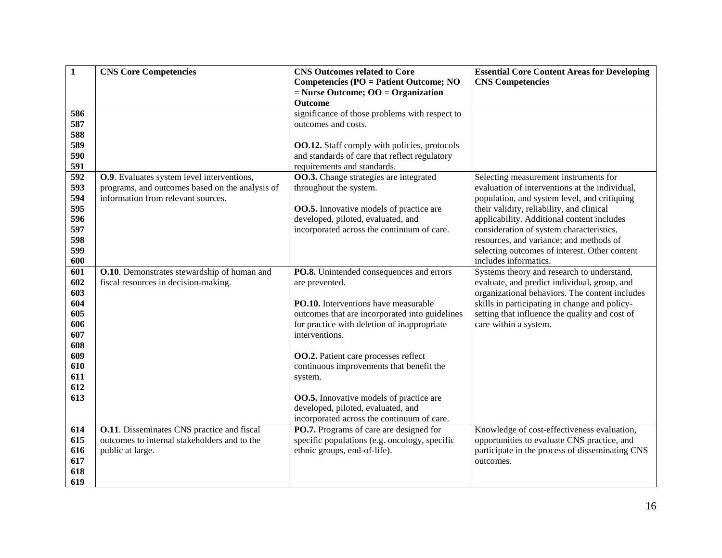| $\mathbf{1}$ | <b>CNS Core Competencies</b>                      | <b>CNS Outcomes related to Core</b>                 | <b>Essential Core Content Areas for Developing</b>                     |
|--------------|---------------------------------------------------|-----------------------------------------------------|------------------------------------------------------------------------|
|              |                                                   | <b>Competencies (PO = Patient Outcome; NO</b>       | <b>CNS Competencies</b>                                                |
|              |                                                   | $=$ Nurse Outcome; OO $=$ Organization              |                                                                        |
|              |                                                   | <b>Outcome</b>                                      |                                                                        |
| 586          |                                                   | significance of those problems with respect to      |                                                                        |
| 587          |                                                   | outcomes and costs.                                 |                                                                        |
| 588          |                                                   |                                                     |                                                                        |
| 589          |                                                   | <b>OO.12.</b> Staff comply with policies, protocols |                                                                        |
| 590          |                                                   | and standards of care that reflect regulatory       |                                                                        |
| 591          |                                                   | requirements and standards.                         |                                                                        |
| 592          | O.9. Evaluates system level interventions,        | <b>OO.3.</b> Change strategies are integrated       | Selecting measurement instruments for                                  |
| 593          | programs, and outcomes based on the analysis of   | throughout the system.                              | evaluation of interventions at the individual,                         |
| 594          | information from relevant sources.                |                                                     | population, and system level, and critiquing                           |
| 595          |                                                   | <b>OO.5.</b> Innovative models of practice are      | their validity, reliability, and clinical                              |
| 596          |                                                   | developed, piloted, evaluated, and                  | applicability. Additional content includes                             |
| 597          |                                                   | incorporated across the continuum of care.          | consideration of system characteristics,                               |
| 598<br>599   |                                                   |                                                     | resources, and variance; and methods of                                |
| 600          |                                                   |                                                     | selecting outcomes of interest. Other content<br>includes informatics. |
| 601          | O.10. Demonstrates stewardship of human and       | PO.8. Unintended consequences and errors            | Systems theory and research to understand,                             |
| 602          | fiscal resources in decision-making.              | are prevented.                                      | evaluate, and predict individual, group, and                           |
| 603          |                                                   |                                                     | organizational behaviors. The content includes                         |
| 604          |                                                   | <b>PO.10.</b> Interventions have measurable         | skills in participating in change and policy-                          |
| 605          |                                                   | outcomes that are incorporated into guidelines      | setting that influence the quality and cost of                         |
| 606          |                                                   | for practice with deletion of inappropriate         | care within a system.                                                  |
| 607          |                                                   | interventions.                                      |                                                                        |
| 608          |                                                   |                                                     |                                                                        |
| 609          |                                                   | <b>OO.2.</b> Patient care processes reflect         |                                                                        |
| 610          |                                                   | continuous improvements that benefit the            |                                                                        |
| 611          |                                                   | system.                                             |                                                                        |
| 612          |                                                   |                                                     |                                                                        |
| 613          |                                                   | <b>OO.5.</b> Innovative models of practice are      |                                                                        |
|              |                                                   | developed, piloted, evaluated, and                  |                                                                        |
|              |                                                   | incorporated across the continuum of care.          |                                                                        |
| 614          | <b>O.11.</b> Disseminates CNS practice and fiscal | <b>PO.7.</b> Programs of care are designed for      | Knowledge of cost-effectiveness evaluation,                            |
| 615          | outcomes to internal stakeholders and to the      | specific populations (e.g. oncology, specific       | opportunities to evaluate CNS practice, and                            |
| 616          | public at large.                                  | ethnic groups, end-of-life).                        | participate in the process of disseminating CNS                        |
| 617          |                                                   |                                                     | outcomes.                                                              |
| 618          |                                                   |                                                     |                                                                        |
| 619          |                                                   |                                                     |                                                                        |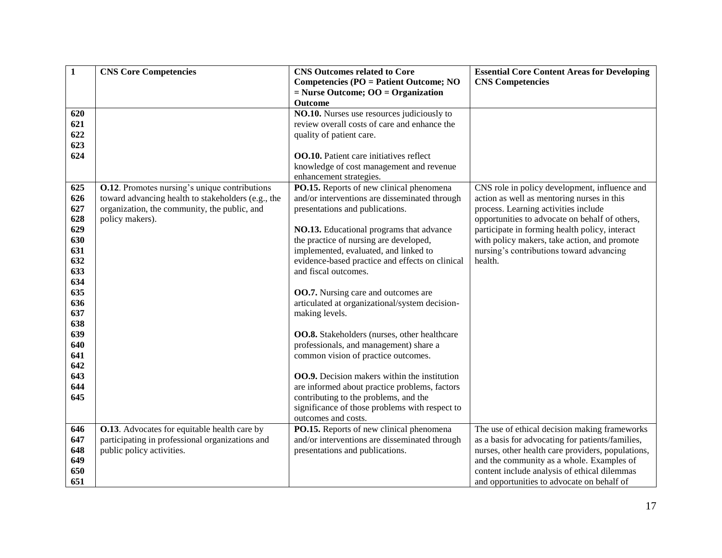| $\mathbf{1}$ | <b>CNS Core Competencies</b>                          | <b>CNS Outcomes related to Core</b>                 | <b>Essential Core Content Areas for Developing</b> |
|--------------|-------------------------------------------------------|-----------------------------------------------------|----------------------------------------------------|
|              |                                                       | <b>Competencies (PO = Patient Outcome; NO</b>       | <b>CNS Competencies</b>                            |
|              |                                                       | $=$ Nurse Outcome; OO $=$ Organization              |                                                    |
|              |                                                       | <b>Outcome</b>                                      |                                                    |
| 620          |                                                       | NO.10. Nurses use resources judiciously to          |                                                    |
| 621          |                                                       | review overall costs of care and enhance the        |                                                    |
| 622          |                                                       | quality of patient care.                            |                                                    |
| 623          |                                                       |                                                     |                                                    |
| 624          |                                                       | <b>OO.10.</b> Patient care initiatives reflect      |                                                    |
|              |                                                       | knowledge of cost management and revenue            |                                                    |
|              |                                                       | enhancement strategies.                             |                                                    |
| 625          | <b>O.12</b> . Promotes nursing's unique contributions | PO.15. Reports of new clinical phenomena            | CNS role in policy development, influence and      |
| 626          | toward advancing health to stakeholders (e.g., the    | and/or interventions are disseminated through       | action as well as mentoring nurses in this         |
| 627          | organization, the community, the public, and          | presentations and publications.                     | process. Learning activities include               |
| 628          | policy makers).                                       |                                                     | opportunities to advocate on behalf of others,     |
| 629          |                                                       | NO.13. Educational programs that advance            | participate in forming health policy, interact     |
| 630          |                                                       | the practice of nursing are developed,              | with policy makers, take action, and promote       |
| 631          |                                                       | implemented, evaluated, and linked to               | nursing's contributions toward advancing           |
| 632          |                                                       | evidence-based practice and effects on clinical     | health.                                            |
| 633          |                                                       | and fiscal outcomes.                                |                                                    |
| 634          |                                                       |                                                     |                                                    |
| 635          |                                                       | <b>OO.7.</b> Nursing care and outcomes are          |                                                    |
| 636          |                                                       | articulated at organizational/system decision-      |                                                    |
| 637<br>638   |                                                       | making levels.                                      |                                                    |
| 639          |                                                       | <b>OO.8.</b> Stakeholders (nurses, other healthcare |                                                    |
| 640          |                                                       | professionals, and management) share a              |                                                    |
| 641          |                                                       | common vision of practice outcomes.                 |                                                    |
| 642          |                                                       |                                                     |                                                    |
| 643          |                                                       | <b>OO.9.</b> Decision makers within the institution |                                                    |
| 644          |                                                       | are informed about practice problems, factors       |                                                    |
| 645          |                                                       | contributing to the problems, and the               |                                                    |
|              |                                                       | significance of those problems with respect to      |                                                    |
|              |                                                       | outcomes and costs.                                 |                                                    |
| 646          | <b>O.13</b> . Advocates for equitable health care by  | PO.15. Reports of new clinical phenomena            | The use of ethical decision making frameworks      |
| 647          | participating in professional organizations and       | and/or interventions are disseminated through       | as a basis for advocating for patients/families,   |
| 648          | public policy activities.                             | presentations and publications.                     | nurses, other health care providers, populations,  |
| 649          |                                                       |                                                     | and the community as a whole. Examples of          |
| 650          |                                                       |                                                     | content include analysis of ethical dilemmas       |
| 651          |                                                       |                                                     | and opportunities to advocate on behalf of         |